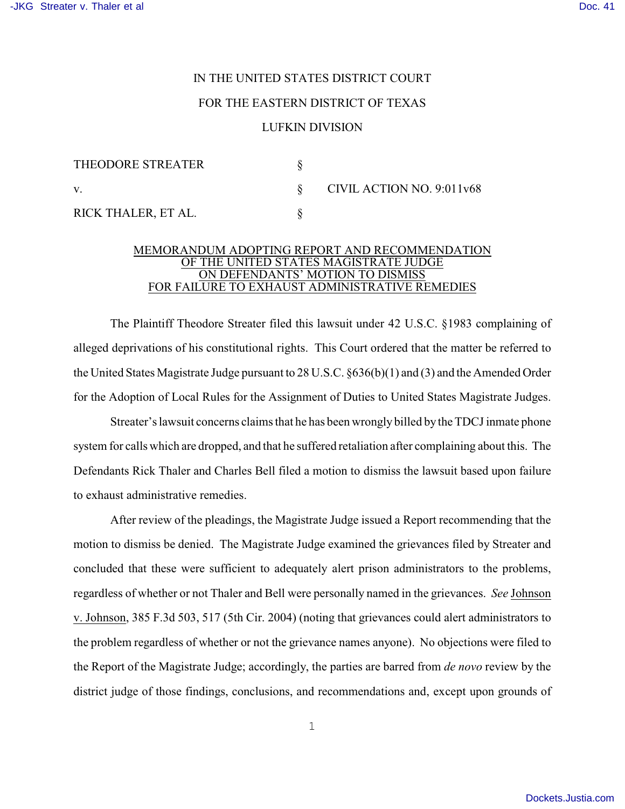## IN THE UNITED STATES DISTRICT COURT

## FOR THE EASTERN DISTRICT OF TEXAS

## LUFKIN DIVISION

| THEODORE STREATER   |                           |
|---------------------|---------------------------|
| $\mathbf V$ .       | CIVIL ACTION NO. 9:011v68 |
| RICK THALER, ET AL. |                           |

## MEMORANDUM ADOPTING REPORT AND RECOMMENDATION OF THE UNITED STATES MAGISTRATE JUDGE ON DEFENDANTS' MOTION TO DISMISS FOR FAILURE TO EXHAUST ADMINISTRATIVE REMEDIES

The Plaintiff Theodore Streater filed this lawsuit under 42 U.S.C. §1983 complaining of alleged deprivations of his constitutional rights. This Court ordered that the matter be referred to the United States Magistrate Judge pursuant to 28 U.S.C. §636(b)(1) and (3) and the Amended Order for the Adoption of Local Rules for the Assignment of Duties to United States Magistrate Judges.

Streater's lawsuit concerns claims that he has been wrongly billed by the TDCJ inmate phone system for calls which are dropped, and that he suffered retaliation after complaining about this. The Defendants Rick Thaler and Charles Bell filed a motion to dismiss the lawsuit based upon failure to exhaust administrative remedies.

After review of the pleadings, the Magistrate Judge issued a Report recommending that the motion to dismiss be denied. The Magistrate Judge examined the grievances filed by Streater and concluded that these were sufficient to adequately alert prison administrators to the problems, regardless of whether or not Thaler and Bell were personally named in the grievances. *See* Johnson v. Johnson, 385 F.3d 503, 517 (5th Cir. 2004) (noting that grievances could alert administrators to the problem regardless of whether or not the grievance names anyone). No objections were filed to the Report of the Magistrate Judge; accordingly, the parties are barred from *de novo* review by the district judge of those findings, conclusions, and recommendations and, except upon grounds of